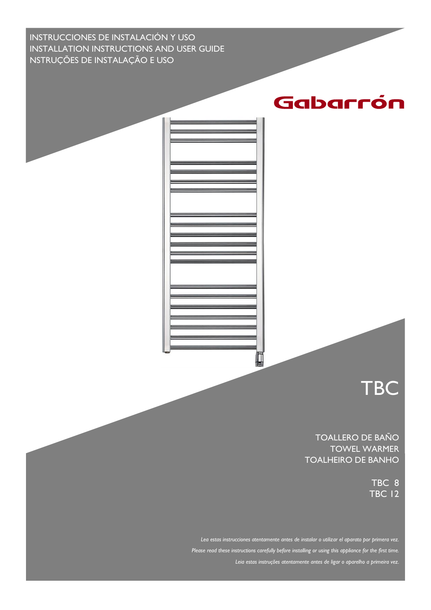INSTRUCCIONES DE INSTALACIÓN Y USO INSTALLATION INSTRUCTIONS AND USER GUIDE NSTRUÇÕES DE INSTALAÇÃO E USO



**TBC** 

TOALLERO DE BAÑO TOWEL WARMER TOALHEIRO DE BANHO

> TBC 8 TBC 12

*Lea estas instrucciones atentamente antes de instalar o utilizar el aparato por primera vez. Please read these instructions carefully before installing or using this appliance for the first time. Leia estas instruções atentamente antes de ligar o aparelho a primeira vez.*

Д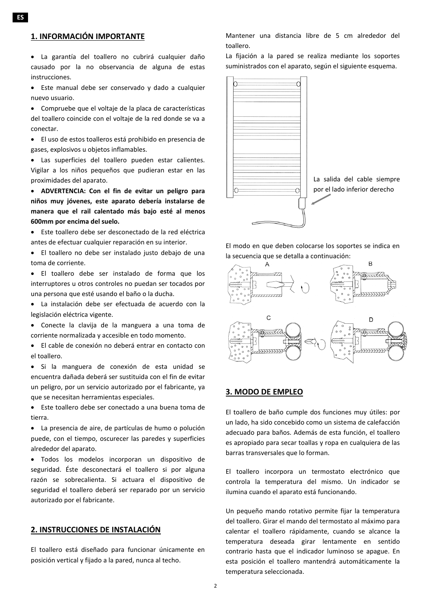# **1. INFORMACIÓN IMPORTANTE**

- La garantía del toallero no cubrirá cualquier daño causado por la no observancia de alguna de estas instrucciones.
- Este manual debe ser conservado y dado a cualquier nuevo usuario.

• Compruebe que el voltaje de la placa de características del toallero coincide con el voltaje de la red donde se va a conectar.

• El uso de estos toalleros está prohibido en presencia de gases, explosivos u objetos inflamables.

• Las superficies del toallero pueden estar calientes. Vigilar a los niños pequeños que pudieran estar en las proximidades del aparato.

• **ADVERTENCIA: Con el fin de evitar un peligro para niños muy jóvenes, este aparato debería instalarse de manera que el rail calentado más bajo esté al menos 600mm por encima del suelo.**

• Este toallero debe ser desconectado de la red eléctrica antes de efectuar cualquier reparación en su interior.

• El toallero no debe ser instalado justo debajo de una toma de corriente.

• El toallero debe ser instalado de forma que los interruptores u otros controles no puedan ser tocados por una persona que esté usando el baño o la ducha.

• La instalación debe ser efectuada de acuerdo con la legislación eléctrica vigente.

• Conecte la clavija de la manguera a una toma de corriente normalizada y accesible en todo momento.

• El cable de conexión no deberá entrar en contacto con el toallero.

• Si la manguera de conexión de esta unidad se encuentra dañada deberá ser sustituida con el fin de evitar un peligro, por un servicio autorizado por el fabricante, ya que se necesitan herramientas especiales.

• Este toallero debe ser conectado a una buena toma de tierra.

• La presencia de aire, de partículas de humo o polución puede, con el tiempo, oscurecer las paredes y superficies alrededor del aparato.

• Todos los modelos incorporan un dispositivo de seguridad. Éste desconectará el toallero si por alguna razón se sobrecalienta. Si actuara el dispositivo de seguridad el toallero deberá ser reparado por un servicio autorizado por el fabricante.

### **2. INSTRUCCIONES DE INSTALACIÓN**

El toallero está diseñado para funcionar únicamente en posición vertical y fijado a la pared, nunca al techo.

Mantener una distancia libre de 5 cm alrededor del toallero.

La fijación a la pared se realiza mediante los soportes suministrados con el aparato, según el siguiente esquema.



El modo en que deben colocarse los soportes se indica en la secuencia que se detalla a continuación:



#### **3. MODO DE EMPLEO**

El toallero de baño cumple dos funciones muy útiles: por un lado, ha sido concebido como un sistema de calefacción adecuado para baños. Además de esta función, el toallero es apropiado para secar toallas y ropa en cualquiera de las barras transversales que lo forman.

El toallero incorpora un termostato electrónico que controla la temperatura del mismo. Un indicador se ilumina cuando el aparato está funcionando.

Un pequeño mando rotativo permite fijar la temperatura del toallero. Girar el mando del termostato al máximo para calentar el toallero rápidamente, cuando se alcance la temperatura deseada girar lentamente en sentido contrario hasta que el indicador luminoso se apague. En esta posición el toallero mantendrá automáticamente la temperatura seleccionada.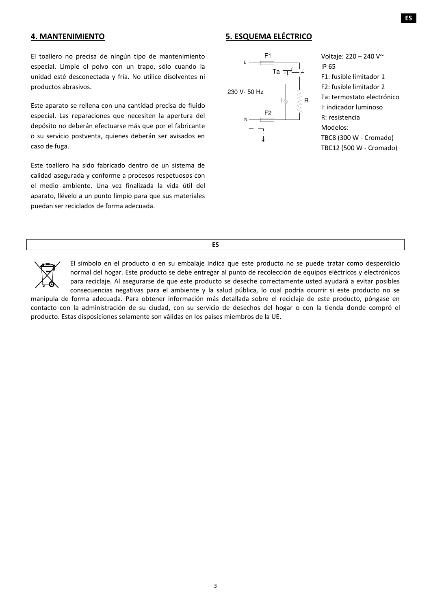### **4. MANTENIMIENTO**

# **5. ESQUEMA ELÉCTRICO**

El toallero no precisa de ningún tipo de mantenimiento especial. Limpie el polvo con un trapo, sólo cuando la unidad esté desconectada y fría. No utilice disolventes ni productos abrasivos.

Este aparato se rellena con una cantidad precisa de fluido especial. Las reparaciones que necesiten la apertura del depósito no deberán efectuarse más que por el fabricante o su servicio postventa, quienes deberán ser avisados en caso de fuga.

Este toallero ha sido fabricado dentro de un sistema de calidad asegurada y conforme a procesos respetuosos con el medio ambiente. Una vez finalizada la vida útil del aparato, llévelo a un punto limpio para que sus materiales puedan ser reciclados de forma adecuada.



Voltaje: 220 – 240 V~ IP 65 F1: fusible limitador 1 F2: fusible limitador 2 Ta: termostato electrónico I: indicador luminoso R: resistencia Modelos: TBC8 (300 W - Cromado) TBC12 (500 W - Cromado)

**ES**



El símbolo en el producto o en su embalaje indica que este producto no se puede tratar como desperdicio normal del hogar. Este producto se debe entregar al punto de recolección de equipos eléctricos y electrónicos para reciclaje. Al asegurarse de que este producto se deseche correctamente usted ayudará a evitar posibles consecuencias negativas para el ambiente y la salud pública, lo cual podría ocurrir si este producto no se

manipula de forma adecuada. Para obtener información más detallada sobre el reciclaje de este producto, póngase en contacto con la administración de su ciudad, con su servicio de desechos del hogar o con la tienda donde compró el producto. Estas disposiciones solamente son válidas en los países miembros de la UE.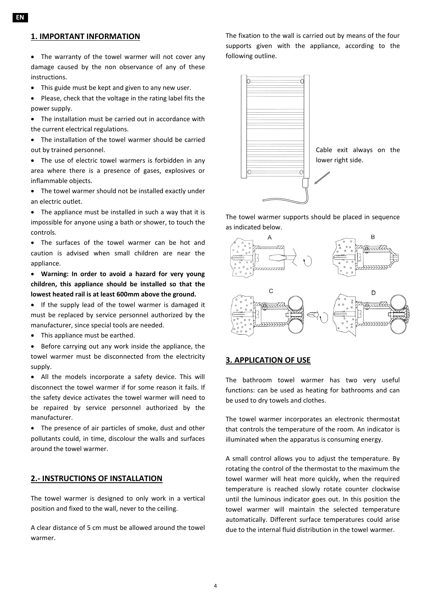### **1. IMPORTANT INFORMATION**

• The warranty of the towel warmer will not cover any damage caused by the non observance of any of these instructions.

• This guide must be kept and given to any new user.

• Please, check that the voltage in the rating label fits the power supply.

• The installation must be carried out in accordance with the current electrical regulations.

• The installation of the towel warmer should be carried out by trained personnel.

• The use of electric towel warmers is forbidden in any area where there is a presence of gases, explosives or inflammable objects.

• The towel warmer should not be installed exactly under an electric outlet.

• The appliance must be installed in such a way that it is impossible for anyone using a bath or shower, to touch the controls.

• The surfaces of the towel warmer can be hot and caution is advised when small children are near the appliance.

• **Warning: In order to avoid a hazard for very young children, this appliance should be installed so that the lowest heated rail is at least 600mm above the ground.**

• If the supply lead of the towel warmer is damaged it must be replaced by service personnel authorized by the manufacturer, since special tools are needed.

• This appliance must be earthed.

• Before carrying out any work inside the appliance, the towel warmer must be disconnected from the electricity supply.

• All the models incorporate a safety device. This will disconnect the towel warmer if for some reason it fails. If the safety device activates the towel warmer will need to be repaired by service personnel authorized by the manufacturer.

• The presence of air particles of smoke, dust and other pollutants could, in time, discolour the walls and surfaces around the towel warmer.

### **2.- INSTRUCTIONS OF INSTALLATION**

The towel warmer is designed to only work in a vertical position and fixed to the wall, never to the ceiling.

A clear distance of 5 cm must be allowed around the towel warmer.

The fixation to the wall is carried out by means of the four supports given with the appliance, according to the following outline.



The towel warmer supports should be placed in sequence as indicated below.



# **3. APPLICATION OF USE**

The bathroom towel warmer has two very useful functions: can be used as heating for bathrooms and can be used to dry towels and clothes.

The towel warmer incorporates an electronic thermostat that controls the temperature of the room. An indicator is illuminated when the apparatus is consuming energy.

A small control allows you to adjust the temperature. By rotating the control of the thermostat to the maximum the towel warmer will heat more quickly, when the required temperature is reached slowly rotate counter clockwise until the luminous indicator goes out. In this position the towel warmer will maintain the selected temperature automatically. Different surface temperatures could arise due to the internal fluid distribution in the towel warmer.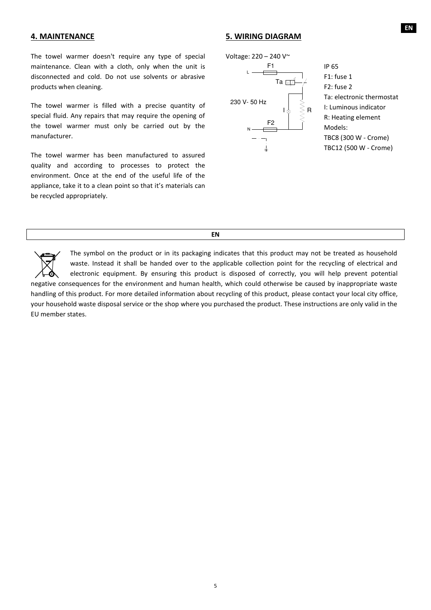#### **4. MAINTENANCE**

The towel warmer doesn't require any type of special maintenance. Clean with a cloth, only when the unit is disconnected and cold. Do not use solvents or abrasive products when cleaning.

The towel warmer is filled with a precise quantity of special fluid. Any repairs that may require the opening of the towel warmer must only be carried out by the manufacturer.

The towel warmer has been manufactured to assured quality and according to processes to protect the environment. Once at the end of the useful life of the appliance, take it to a clean point so that it's materials can be recycled appropriately.

#### **5. WIRING DIAGRAM**





IP 65 F1: fuse 1 F2: fuse 2 Ta: electronic thermostat I: Luminous indicator R: Heating element Models: TBC8 (300 W - Crome) TBC12 (500 W - Crome)

**EN**

The symbol on the product or in its packaging indicates that this product may not be treated as household waste. Instead it shall be handed over to the applicable collection point for the recycling of electrical and electronic equipment. By ensuring this product is disposed of correctly, you will help prevent potential negative consequences for the environment and human health, which could otherwise be caused by inappropriate waste handling of this product. For more detailed information about recycling of this product, please contact your local city office, your household waste disposal service or the shop where you purchased the product. These instructions are only valid in the EU member states.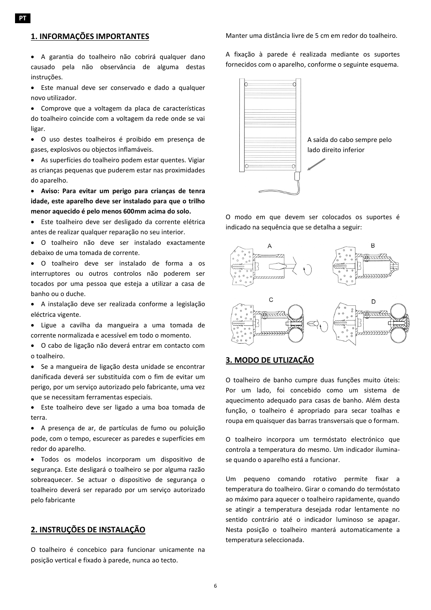# **1. INFORMAÇÕES IMPORTANTES**

• A garantia do toalheiro não cobrirá qualquer dano causado pela não observância de alguma destas instruções.

• Este manual deve ser conservado e dado a qualquer novo utilizador.

• Comprove que a voltagem da placa de características do toalheiro coincide com a voltagem da rede onde se vai ligar.

• O uso destes toalheiros é proibido em presença de gases, explosivos ou objectos inflamáveis.

• As superfícies do toalheiro podem estar quentes. Vigiar as crianças pequenas que puderem estar nas proximidades do aparelho.

• **Aviso: Para evitar um perigo para crianças de tenra idade, este aparelho deve ser instalado para que o trilho menor aquecido é pelo menos 600mm acima do solo.**

• Este toalheiro deve ser desligado da corrente elétrica antes de realizar qualquer reparação no seu interior.

• O toalheiro não deve ser instalado exactamente debaixo de uma tomada de corrente.

• O toalheiro deve ser instalado de forma a os interruptores ou outros controlos não poderem ser tocados por uma pessoa que esteja a utilizar a casa de banho ou o duche.

• A instalação deve ser realizada conforme a legislação eléctrica vigente.

• Ligue a cavilha da mangueira a uma tomada de corrente normalizada e acessível em todo o momento.

• O cabo de ligação não deverá entrar em contacto com o toalheiro.

• Se a mangueira de ligação desta unidade se encontrar danificada deverá ser substituída com o fim de evitar um perigo, por um serviço autorizado pelo fabricante, uma vez que se necessitam ferramentas especiais.

• Este toalheiro deve ser ligado a uma boa tomada de terra.

• A presença de ar, de partículas de fumo ou poluição pode, com o tempo, escurecer as paredes e superfícies em redor do aparelho.

• Todos os modelos incorporam um dispositivo de segurança. Este desligará o toalheiro se por alguma razão sobreaquecer. Se actuar o dispositivo de segurança o toalheiro deverá ser reparado por um serviço autorizado pelo fabricante

# **2. INSTRUÇÕES DE INSTALAÇÃO**

O toalheiro é concebico para funcionar unicamente na posição vertical e fixado à parede, nunca ao tecto.

Manter uma distância livre de 5 cm em redor do toalheiro.

A fixação à parede é realizada mediante os suportes fornecidos com o aparelho, conforme o seguinte esquema.



O modo em que devem ser colocados os suportes é indicado na sequência que se detalha a seguir:



# **3. MODO DE UTLIZAÇÃO**

O toalheiro de banho cumpre duas funções muito úteis: Por um lado, foi concebido como um sistema de aquecimento adequado para casas de banho. Além desta função, o toalheiro é apropriado para secar toalhas e roupa em quaisquer das barras transversais que o formam.

O toalheiro incorpora um termóstato electrónico que controla a temperatura do mesmo. Um indicador iluminase quando o aparelho está a funcionar.

Um pequeno comando rotativo permite fixar a temperatura do toalheiro. Girar o comando do termóstato ao máximo para aquecer o toalheiro rapidamente, quando se atingir a temperatura desejada rodar lentamente no sentido contrário até o indicador luminoso se apagar. Nesta posição o toalheiro manterá automaticamente a temperatura seleccionada.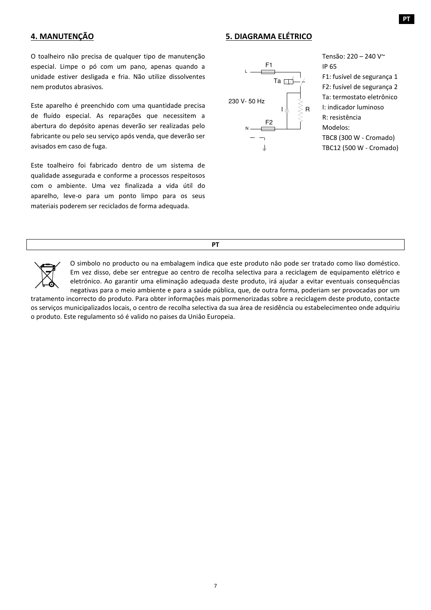# **4. MANUTENÇÃO**

### **5. DIAGRAMA ELÉTRICO**

O toalheiro não precisa de qualquer tipo de manutenção especial. Limpe o pó com um pano, apenas quando a unidade estiver desligada e fria. Não utilize dissolventes nem produtos abrasivos.

Este aparelho é preenchido com uma quantidade precisa de fluído especial. As reparações que necessitem a abertura do depósito apenas deverão ser realizadas pelo fabricante ou pelo seu serviço após venda, que deverão ser avisados em caso de fuga.

Este toalheiro foi fabricado dentro de um sistema de qualidade assegurada e conforme a processos respeitosos com o ambiente. Uma vez finalizada a vida útil do aparelho, leve-o para um ponto limpo para os seus materiais poderem ser reciclados de forma adequada.



Tensão: 220 – 240 V~ IP 65 F1: fusível de segurança 1 F2: fusível de segurança 2 Ta: termostato eletrônico I: indicador luminoso R: resistência Modelos: TBC8 (300 W - Cromado) TBC12 (500 W - Cromado)

**PT**



O simbolo no producto ou na embalagem indica que este produto nâo pode ser tratado como lixo doméstico. Em vez disso, debe ser entregue ao centro de recolha selectiva para a reciclagem de equipamento elétrico e eletrónico. Ao garantir uma eliminaçâo adequada deste produto, irá ajudar a evitar eventuais consequências negativas para o meio ambiente e para a saúde pública, que, de outra forma, poderiam ser provocadas por um

tratamento incorrecto do produto. Para obter informaçôes mais pormenorizadas sobre a reciclagem deste produto, contacte os serviços municipalizados locais, o centro de recolha selectiva da sua área de residência ou estabelecimenteo onde adquiriu o produto. Este regulamento só é valido no paises da Uniâo Europeia.